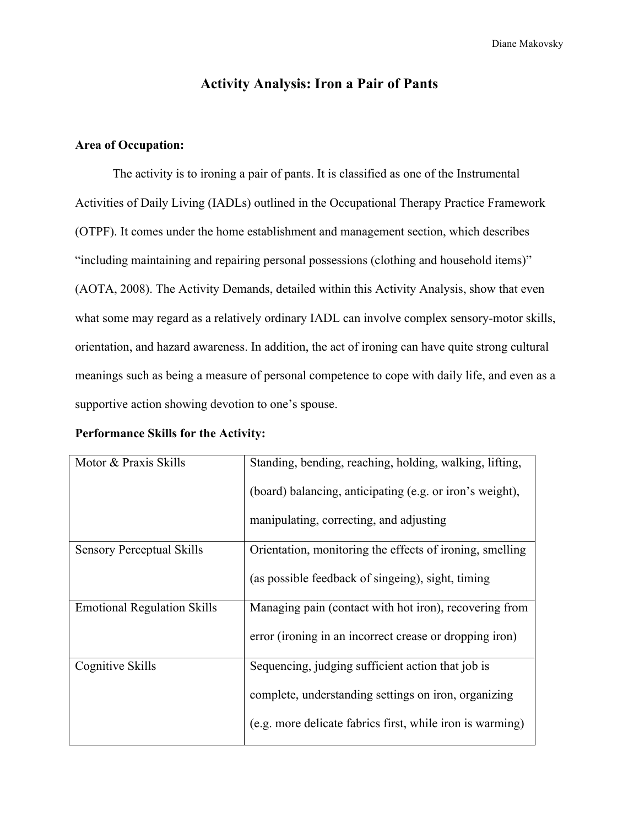Diane Makovsky

# **Activity Analysis: Iron a Pair of Pants**

# **Area of Occupation:**

The activity is to ironing a pair of pants. It is classified as one of the Instrumental Activities of Daily Living (IADLs) outlined in the Occupational Therapy Practice Framework (OTPF). It comes under the home establishment and management section, which describes "including maintaining and repairing personal possessions (clothing and household items)" (AOTA, 2008). The Activity Demands, detailed within this Activity Analysis, show that even what some may regard as a relatively ordinary IADL can involve complex sensory-motor skills, orientation, and hazard awareness. In addition, the act of ironing can have quite strong cultural meanings such as being a measure of personal competence to cope with daily life, and even as a supportive action showing devotion to one's spouse.

| Motor & Praxis Skills              | Standing, bending, reaching, holding, walking, lifting,   |
|------------------------------------|-----------------------------------------------------------|
|                                    | (board) balancing, anticipating (e.g. or iron's weight),  |
|                                    | manipulating, correcting, and adjusting                   |
| <b>Sensory Perceptual Skills</b>   | Orientation, monitoring the effects of ironing, smelling  |
|                                    | (as possible feedback of singling), sight, timing         |
| <b>Emotional Regulation Skills</b> | Managing pain (contact with hot iron), recovering from    |
|                                    | error (ironing in an incorrect crease or dropping iron)   |
| Cognitive Skills                   | Sequencing, judging sufficient action that job is         |
|                                    | complete, understanding settings on iron, organizing      |
|                                    | (e.g. more delicate fabrics first, while iron is warming) |

#### **Performance Skills for the Activity:**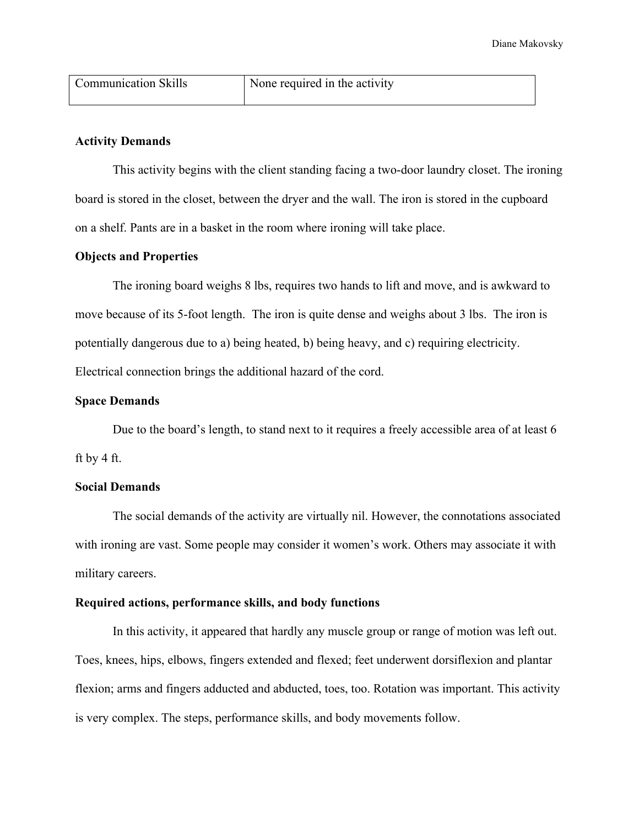| Communication Skills | None required in the activity |
|----------------------|-------------------------------|
|                      |                               |

# **Activity Demands**

This activity begins with the client standing facing a two-door laundry closet. The ironing board is stored in the closet, between the dryer and the wall. The iron is stored in the cupboard on a shelf. Pants are in a basket in the room where ironing will take place.

#### **Objects and Properties**

The ironing board weighs 8 lbs, requires two hands to lift and move, and is awkward to move because of its 5-foot length. The iron is quite dense and weighs about 3 lbs. The iron is potentially dangerous due to a) being heated, b) being heavy, and c) requiring electricity. Electrical connection brings the additional hazard of the cord.

# **Space Demands**

Due to the board's length, to stand next to it requires a freely accessible area of at least 6 ft by 4 ft.

#### **Social Demands**

The social demands of the activity are virtually nil. However, the connotations associated with ironing are vast. Some people may consider it women's work. Others may associate it with military careers.

#### **Required actions, performance skills, and body functions**

In this activity, it appeared that hardly any muscle group or range of motion was left out. Toes, knees, hips, elbows, fingers extended and flexed; feet underwent dorsiflexion and plantar flexion; arms and fingers adducted and abducted, toes, too. Rotation was important. This activity is very complex. The steps, performance skills, and body movements follow.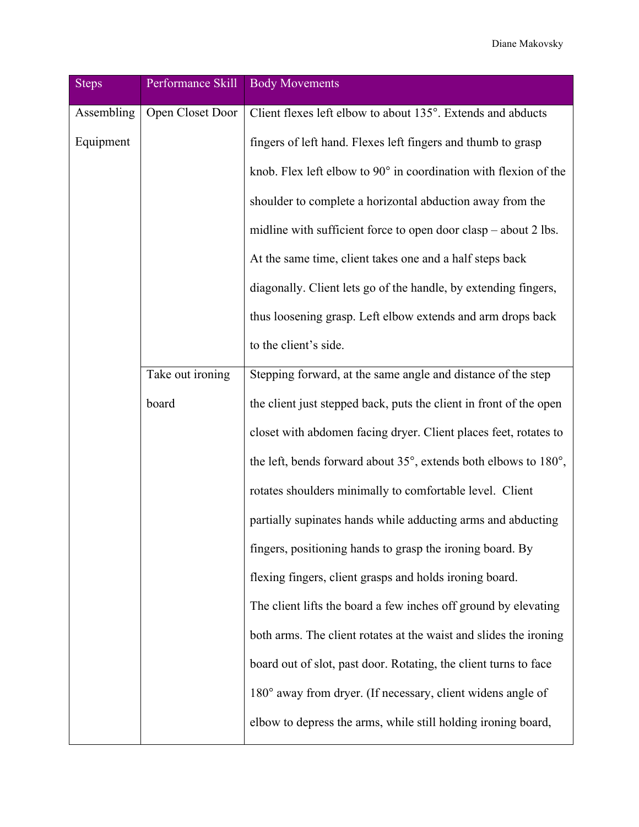Diane Makovsky

| <b>Steps</b> | Performance Skill | <b>Body Movements</b>                                              |
|--------------|-------------------|--------------------------------------------------------------------|
| Assembling   | Open Closet Door  | Client flexes left elbow to about 135°. Extends and abducts        |
| Equipment    |                   | fingers of left hand. Flexes left fingers and thumb to grasp       |
|              |                   | knob. Flex left elbow to 90° in coordination with flexion of the   |
|              |                   | shoulder to complete a horizontal abduction away from the          |
|              |                   | midline with sufficient force to open door clasp – about 2 lbs.    |
|              |                   | At the same time, client takes one and a half steps back           |
|              |                   | diagonally. Client lets go of the handle, by extending fingers,    |
|              |                   | thus loosening grasp. Left elbow extends and arm drops back        |
|              |                   | to the client's side.                                              |
|              | Take out ironing  | Stepping forward, at the same angle and distance of the step       |
|              | board             | the client just stepped back, puts the client in front of the open |
|              |                   | closet with abdomen facing dryer. Client places feet, rotates to   |
|              |                   | the left, bends forward about 35°, extends both elbows to 180°,    |
|              |                   | rotates shoulders minimally to comfortable level. Client           |
|              |                   | partially supinates hands while adducting arms and abducting       |
|              |                   | fingers, positioning hands to grasp the ironing board. By          |
|              |                   | flexing fingers, client grasps and holds ironing board.            |
|              |                   | The client lifts the board a few inches off ground by elevating    |
|              |                   | both arms. The client rotates at the waist and slides the ironing  |
|              |                   | board out of slot, past door. Rotating, the client turns to face   |
|              |                   | 180° away from dryer. (If necessary, client widens angle of        |
|              |                   | elbow to depress the arms, while still holding ironing board,      |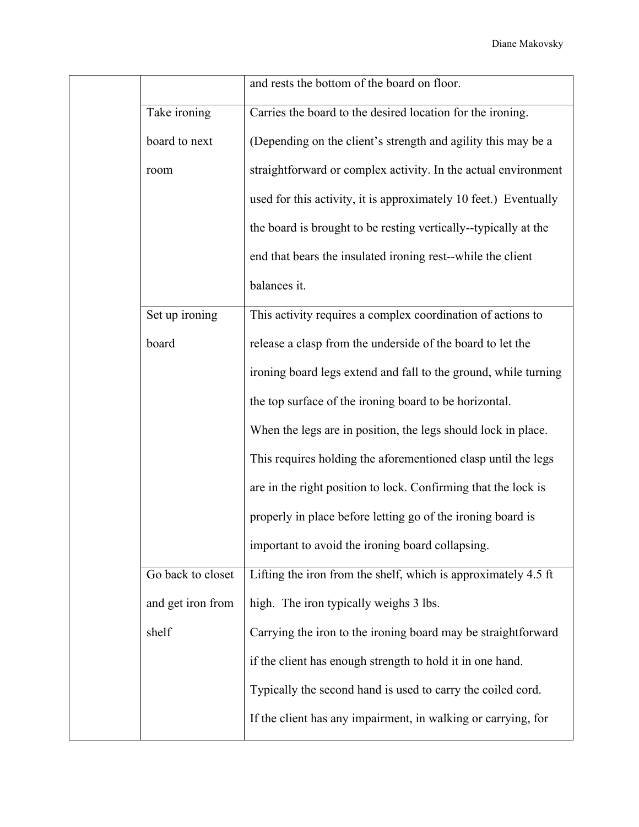|                   | and rests the bottom of the board on floor.                      |
|-------------------|------------------------------------------------------------------|
| Take ironing      | Carries the board to the desired location for the ironing.       |
| board to next     | (Depending on the client's strength and agility this may be a    |
| room              | straightforward or complex activity. In the actual environment   |
|                   | used for this activity, it is approximately 10 feet.) Eventually |
|                   | the board is brought to be resting vertically--typically at the  |
|                   | end that bears the insulated ironing rest-while the client       |
|                   | balances it.                                                     |
| Set up ironing    | This activity requires a complex coordination of actions to      |
| board             | release a clasp from the underside of the board to let the       |
|                   | ironing board legs extend and fall to the ground, while turning  |
|                   | the top surface of the ironing board to be horizontal.           |
|                   | When the legs are in position, the legs should lock in place.    |
|                   | This requires holding the aforementioned clasp until the legs    |
|                   | are in the right position to lock. Confirming that the lock is   |
|                   | properly in place before letting go of the ironing board is      |
|                   | important to avoid the ironing board collapsing.                 |
| Go back to closet | Lifting the iron from the shelf, which is approximately 4.5 ft   |
| and get iron from | high. The iron typically weighs 3 lbs.                           |
| shelf             | Carrying the iron to the ironing board may be straightforward    |
|                   | if the client has enough strength to hold it in one hand.        |
|                   | Typically the second hand is used to carry the coiled cord.      |
|                   | If the client has any impairment, in walking or carrying, for    |
|                   |                                                                  |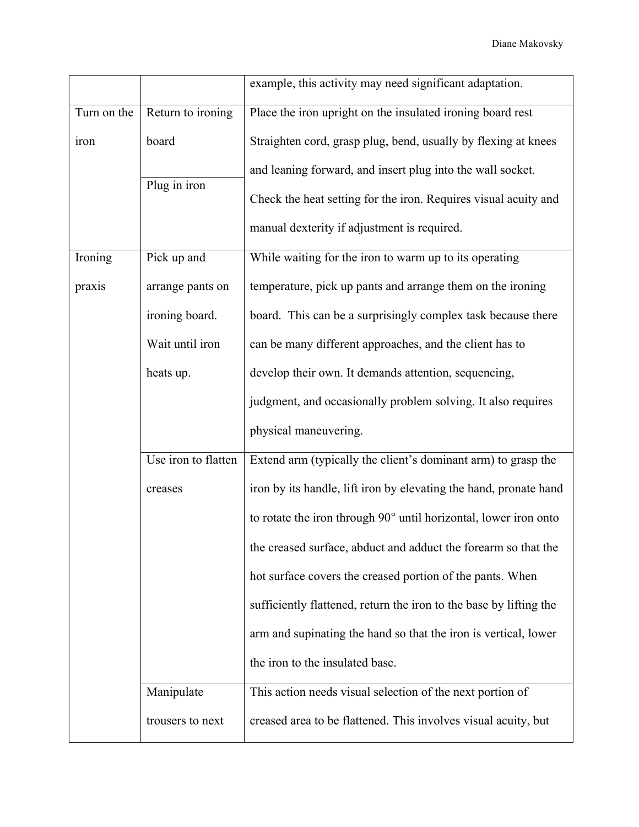|             |                     | example, this activity may need significant adaptation.            |
|-------------|---------------------|--------------------------------------------------------------------|
| Turn on the | Return to ironing   | Place the iron upright on the insulated ironing board rest         |
| iron        | board               | Straighten cord, grasp plug, bend, usually by flexing at knees     |
|             |                     | and leaning forward, and insert plug into the wall socket.         |
|             | Plug in iron        | Check the heat setting for the iron. Requires visual acuity and    |
|             |                     | manual dexterity if adjustment is required.                        |
| Ironing     | Pick up and         | While waiting for the iron to warm up to its operating             |
| praxis      | arrange pants on    | temperature, pick up pants and arrange them on the ironing         |
|             | ironing board.      | board. This can be a surprisingly complex task because there       |
|             | Wait until iron     | can be many different approaches, and the client has to            |
|             | heats up.           | develop their own. It demands attention, sequencing,               |
|             |                     | judgment, and occasionally problem solving. It also requires       |
|             |                     | physical maneuvering.                                              |
|             | Use iron to flatten | Extend arm (typically the client's dominant arm) to grasp the      |
|             | creases             | iron by its handle, lift iron by elevating the hand, pronate hand  |
|             |                     | to rotate the iron through 90° until horizontal, lower iron onto   |
|             |                     | the creased surface, abduct and adduct the forearm so that the     |
|             |                     | hot surface covers the creased portion of the pants. When          |
|             |                     | sufficiently flattened, return the iron to the base by lifting the |
|             |                     | arm and supinating the hand so that the iron is vertical, lower    |
|             |                     | the iron to the insulated base.                                    |
|             | Manipulate          | This action needs visual selection of the next portion of          |
|             | trousers to next    | creased area to be flattened. This involves visual acuity, but     |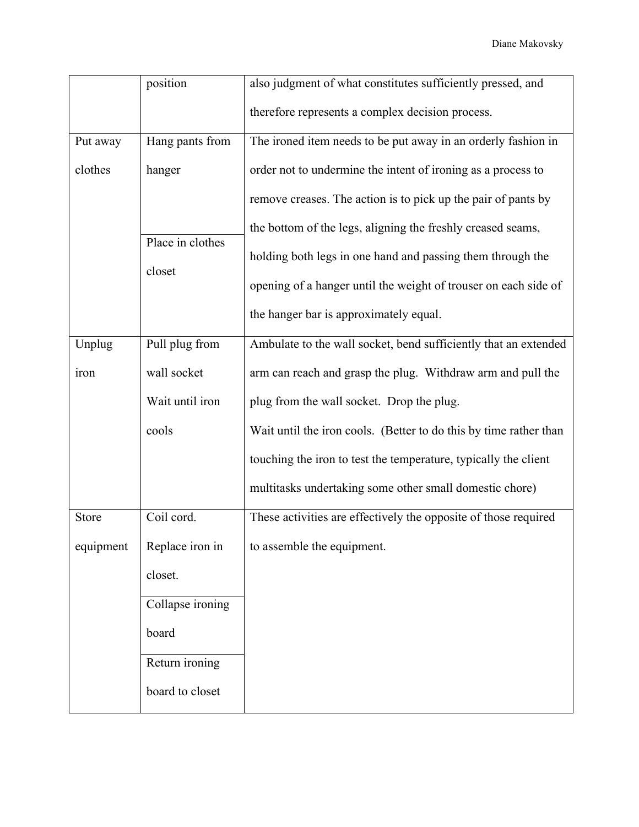|           | position         | also judgment of what constitutes sufficiently pressed, and       |
|-----------|------------------|-------------------------------------------------------------------|
|           |                  | therefore represents a complex decision process.                  |
| Put away  | Hang pants from  | The ironed item needs to be put away in an orderly fashion in     |
| clothes   | hanger           | order not to undermine the intent of ironing as a process to      |
|           |                  | remove creases. The action is to pick up the pair of pants by     |
|           | Place in clothes | the bottom of the legs, aligning the freshly creased seams,       |
|           |                  | holding both legs in one hand and passing them through the        |
|           | closet           | opening of a hanger until the weight of trouser on each side of   |
|           |                  | the hanger bar is approximately equal.                            |
| Unplug    | Pull plug from   | Ambulate to the wall socket, bend sufficiently that an extended   |
| iron      | wall socket      | arm can reach and grasp the plug. Withdraw arm and pull the       |
|           | Wait until iron  | plug from the wall socket. Drop the plug.                         |
|           | cools            | Wait until the iron cools. (Better to do this by time rather than |
|           |                  | touching the iron to test the temperature, typically the client   |
|           |                  | multitasks undertaking some other small domestic chore)           |
| Store     | Coil cord.       | These activities are effectively the opposite of those required   |
| equipment | Replace iron in  | to assemble the equipment.                                        |
|           | closet.          |                                                                   |
|           | Collapse ironing |                                                                   |
|           | board            |                                                                   |
|           | Return ironing   |                                                                   |
|           | board to closet  |                                                                   |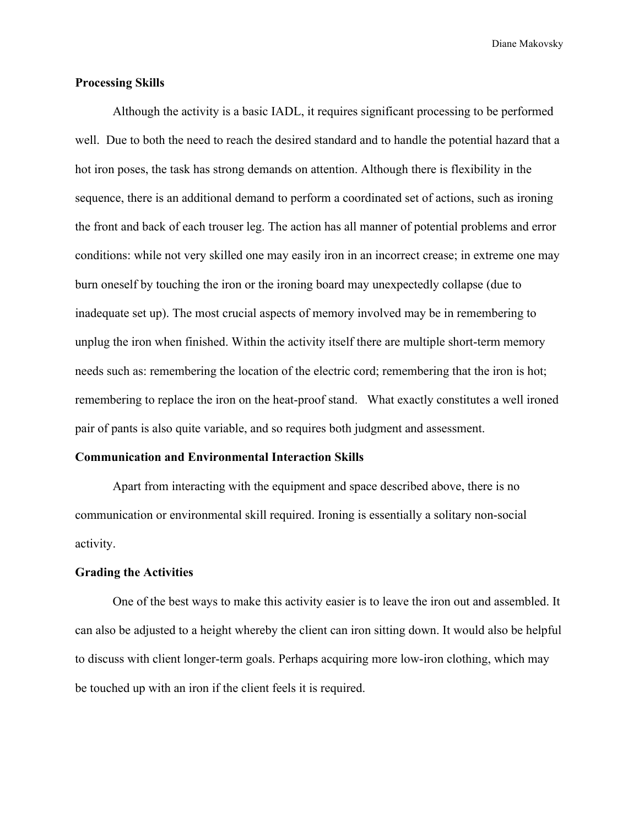Diane Makovsky

#### **Processing Skills**

Although the activity is a basic IADL, it requires significant processing to be performed well. Due to both the need to reach the desired standard and to handle the potential hazard that a hot iron poses, the task has strong demands on attention. Although there is flexibility in the sequence, there is an additional demand to perform a coordinated set of actions, such as ironing the front and back of each trouser leg. The action has all manner of potential problems and error conditions: while not very skilled one may easily iron in an incorrect crease; in extreme one may burn oneself by touching the iron or the ironing board may unexpectedly collapse (due to inadequate set up). The most crucial aspects of memory involved may be in remembering to unplug the iron when finished. Within the activity itself there are multiple short-term memory needs such as: remembering the location of the electric cord; remembering that the iron is hot; remembering to replace the iron on the heat-proof stand. What exactly constitutes a well ironed pair of pants is also quite variable, and so requires both judgment and assessment.

# **Communication and Environmental Interaction Skills**

Apart from interacting with the equipment and space described above, there is no communication or environmental skill required. Ironing is essentially a solitary non-social activity.

# **Grading the Activities**

One of the best ways to make this activity easier is to leave the iron out and assembled. It can also be adjusted to a height whereby the client can iron sitting down. It would also be helpful to discuss with client longer-term goals. Perhaps acquiring more low-iron clothing, which may be touched up with an iron if the client feels it is required.